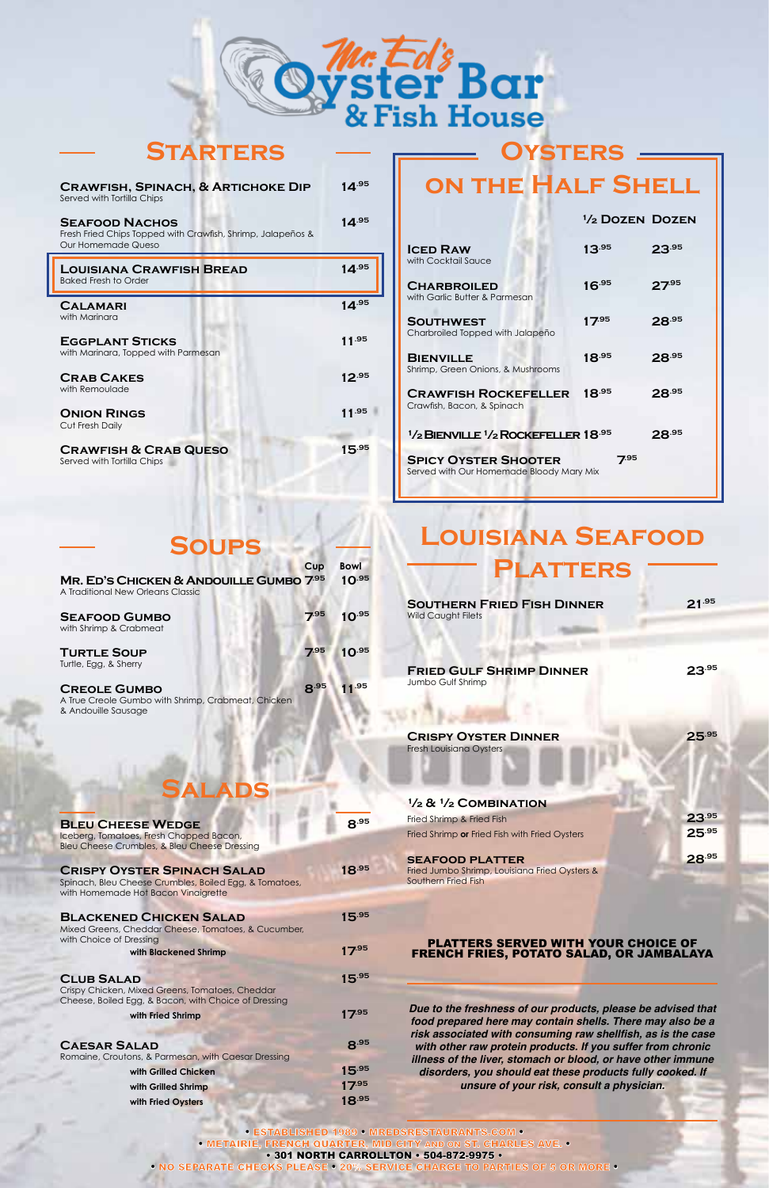• ESTABLISHED 1989 • MREDSRESTAURANTS.COM • • METAIRIE, FRENCH QUARTER, MID CITY AND ON ST. CHARLES AVE. • • 301 NORTH CARROLLTON • 504-872-9975 •

• NO SEPARATE CHECKS PLEASE • 20% SERVICE CHARGE TO PARTIES OF 5 OR MORE •

# **Louisiana Seafood**



| <b>SEAFOOD PLATTER</b>                        | 28.95 |
|-----------------------------------------------|-------|
| Fried Jumbo Shrimp, Louisiana Fried Oysters & |       |

#### **CRISPY OYSTER SPINACH SALAD 18.95**

Southern Fried Fish

#### PLATTERS SERVED WITH YOUR CHOICE OF FRENCH FRIES, POTATO SALAD, OR JAMBALAYA

**BLEU CHEESE WEDGE 8.95** Iceberg, Tomatoes, Fresh Chopped Bacon, Bleu Cheese Crumbles, & Bleu Cheese Dressing

Spinach, Bleu Cheese Crumbles, Boiled Egg, & Tomatoes, with Homemade Hot Bacon Vinaigrette

#### **BLACKENED CHICKEN SALAD 15.95**

*Due to the freshness of our products, please be advised that food prepared here may contain shells. There may also be a* **risk associated with consuming raw shellfish, as is the case** *with other raw protein products. If you suffer from chronic illness of the liver, stomach or blood, or have other immune disorders, you should eat these products fully cooked. If unsure of your risk, consult a physician.*

**with Grilled Shrimp 17.95 with Fried Oysters 18.95**

## **Oysters on the Half Shell**

#### **½ Dozen Dozen**

| <b>ICED RAW</b><br>with Cocktail Sauce                                                         | $13^{.95}$ | 23.95      |
|------------------------------------------------------------------------------------------------|------------|------------|
| <b>CHARBROILED</b><br>with Garlic Butter & Parmesan                                            | $16^{.95}$ | $27^{95}$  |
| <b>SOUTHWEST</b><br>Charbroiled Topped with Jalapeño                                           | $17^{.95}$ | $28^{.95}$ |
| <b>BIENVILLE</b><br>Shrimp, Green Onions, & Mushrooms                                          | $18^{.95}$ | 28.95      |
| <b>CRAWFISH ROCKEFELLER</b><br>Crawfish, Bacon, & Spinach                                      | 18.95      | 28.95      |
| <sup>1</sup> / <sub>2</sub> BIENVILLE <sup>1</sup> / <sub>2</sub> ROCKEFELLER <sup>18.95</sup> |            | 28.95      |
| <b>SPICY OYSTER SHOOTER</b><br>Served with Our Homemade Bloody Mary Mix                        | 7.95       |            |

## **Salads**

Mixed Greens, Cheddar Cheese, Tomatoes, & Cucumber, with Choice of Dressing

**with Blackened Shrimp 17.95** 

CLUB SALAD 15.95 Crispy Chicken, Mixed Greens, Tomatoes, Cheddar Cheese, Boiled Egg, & Bacon, with Choice of Dressing **with Fried Shrimp 17.95** 

#### **CAESAR SALAD 8.95** Romaine, Croutons, & Parmesan, with Caesar Dressing **with Grilled Chicken 15.95**

## **Soups**

|                                                                                                  | Cup  | <b>Bowl</b> |
|--------------------------------------------------------------------------------------------------|------|-------------|
| MR. ED'S CHICKEN & ANDOUILLE GUMBO 7.95<br>A Traditional New Orleans Classic                     |      | $10^{.95}$  |
| <b>SEAFOOD GUMBO</b><br>with Shrimp & Crabmeat                                                   | 7.95 | $10^{.95}$  |
| <b>TURTLE SOUP</b><br>Turtle, Egg, & Sherry                                                      | 7.95 | $10^{.95}$  |
| <b>CREOLE GUMBO</b><br>A True Creole Gumbo with Shrimp, Crabmeat, Chicken<br>& Andouille Sausage | 8.95 | .95         |

**Starters**



| <b>CRAWFISH, SPINACH, &amp; ARTICHOKE DIP</b><br>Served with Tortilla Chips                                | 14 $^{.95}$ |
|------------------------------------------------------------------------------------------------------------|-------------|
| <b>SEAFOOD NACHOS</b><br>Fresh Fried Chips Topped with Crawfish, Shrimp, Jalapeños &<br>Our Homemade Queso | $14^{.95}$  |
| <b>LOUISIANA CRAWFISH BREAD</b><br><b>Baked Fresh to Order</b>                                             | $14^{.95}$  |
| <b>CALAMARI</b><br>with Marinara                                                                           | $14^{.95}$  |
| <b>EGGPLANT STICKS</b><br>with Marinara, Topped with Parmesan                                              | 11.95       |
| <b>CRAB CAKES</b><br>with Remoulade                                                                        | $12^{.95}$  |
| <b>ONION RINGS</b><br>Cut Fresh Daily                                                                      | 11.95       |
| <b>CRAWFISH &amp; CRAB QUESO</b><br>Served with Tortilla Chips                                             | $15^{.95}$  |